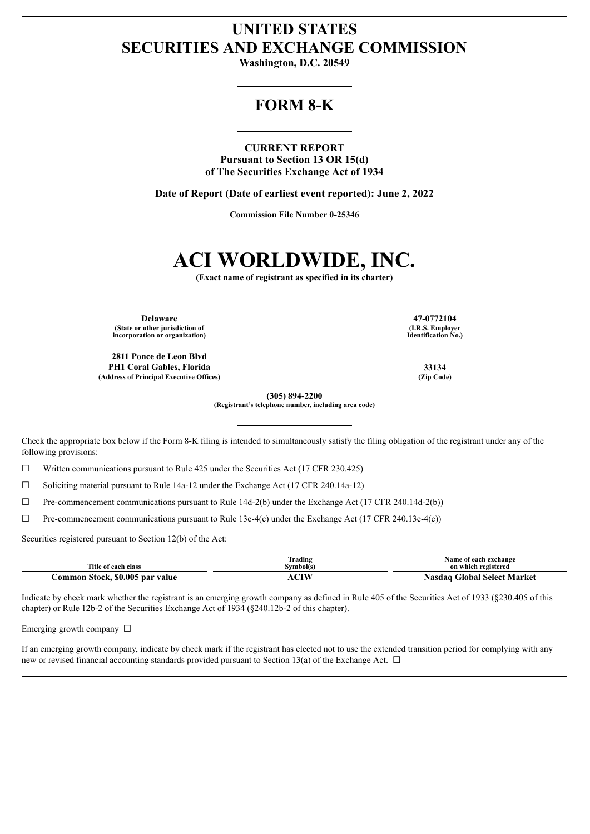## **UNITED STATES SECURITIES AND EXCHANGE COMMISSION**

**Washington, D.C. 20549**

## **FORM 8-K**

**CURRENT REPORT Pursuant to Section 13 OR 15(d) of The Securities Exchange Act of 1934**

**Date of Report (Date of earliest event reported): June 2, 2022**

**Commission File Number 0-25346**

# **ACI WORLDWIDE, INC.**

**(Exact name of registrant as specified in its charter)**

**Delaware 47-0772104 (State or other jurisdiction of incorporation or organization)**

**2811 Ponce de Leon Blvd PH1 Coral Gables, Florida 33134 (Address of Principal Executive Offices) (Zip Code)**

**(I.R.S. Employer Identification No.)**

**(305) 894-2200**

**(Registrant's telephone number, including area code)**

Check the appropriate box below if the Form 8-K filing is intended to simultaneously satisfy the filing obligation of the registrant under any of the following provisions:

 $\Box$  Written communications pursuant to Rule 425 under the Securities Act (17 CFR 230.425)

☐ Soliciting material pursuant to Rule 14a-12 under the Exchange Act (17 CFR 240.14a-12)

 $\Box$  Pre-commencement communications pursuant to Rule 14d-2(b) under the Exchange Act (17 CFR 240.14d-2(b))

☐ Pre-commencement communications pursuant to Rule 13e-4(c) under the Exchange Act (17 CFR 240.13e-4(c))

Securities registered pursuant to Section 12(b) of the Act:

|                                 | Trading  | Name of each exchange              |
|---------------------------------|----------|------------------------------------|
| Title of each class             | svmbol(s | on which registered                |
| Common Stock, \$0.005 par value | ∩™       | <b>Nasdaq Global Select Market</b> |

Indicate by check mark whether the registrant is an emerging growth company as defined in Rule 405 of the Securities Act of 1933 (§230.405 of this chapter) or Rule 12b-2 of the Securities Exchange Act of 1934 (§240.12b-2 of this chapter).

Emerging growth company  $\Box$ 

If an emerging growth company, indicate by check mark if the registrant has elected not to use the extended transition period for complying with any new or revised financial accounting standards provided pursuant to Section 13(a) of the Exchange Act.  $\Box$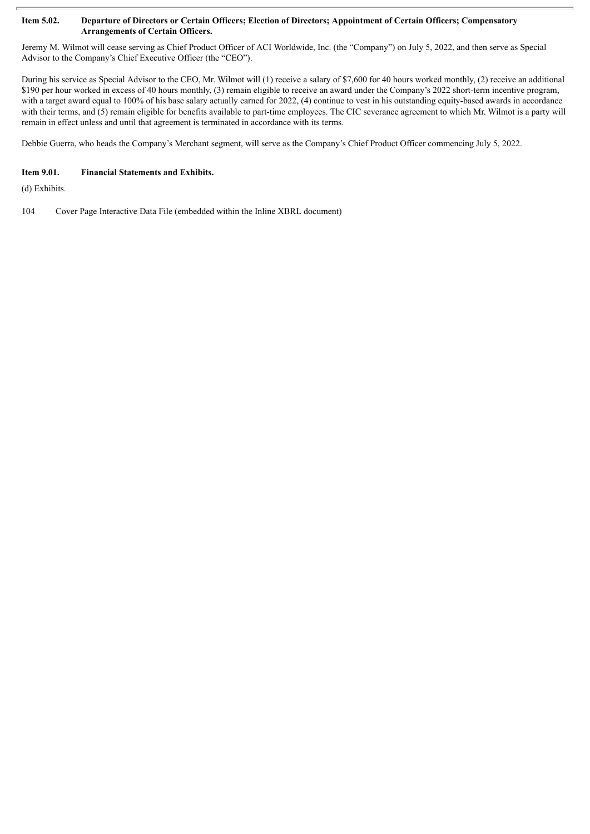#### Item 5.02. Departure of Directors or Certain Officers; Election of Directors; Appointment of Certain Officers; Compensatory **Arrangements of Certain Officers.**

Jeremy M. Wilmot will cease serving as Chief Product Officer of ACI Worldwide, Inc. (the "Company") on July 5, 2022, and then serve as Special Advisor to the Company's Chief Executive Officer (the "CEO").

During his service as Special Advisor to the CEO, Mr. Wilmot will (1) receive a salary of \$7,600 for 40 hours worked monthly, (2) receive an additional \$190 per hour worked in excess of 40 hours monthly, (3) remain eligible to receive an award under the Company's 2022 short-term incentive program, with a target award equal to 100% of his base salary actually earned for 2022, (4) continue to vest in his outstanding equity-based awards in accordance with their terms, and (5) remain eligible for benefits available to part-time employees. The CIC severance agreement to which Mr. Wilmot is a party will remain in effect unless and until that agreement is terminated in accordance with its terms.

Debbie Guerra, who heads the Company's Merchant segment, will serve as the Company's Chief Product Officer commencing July 5, 2022.

### **Item 9.01. Financial Statements and Exhibits.**

(d) Exhibits.

104 Cover Page Interactive Data File (embedded within the Inline XBRL document)